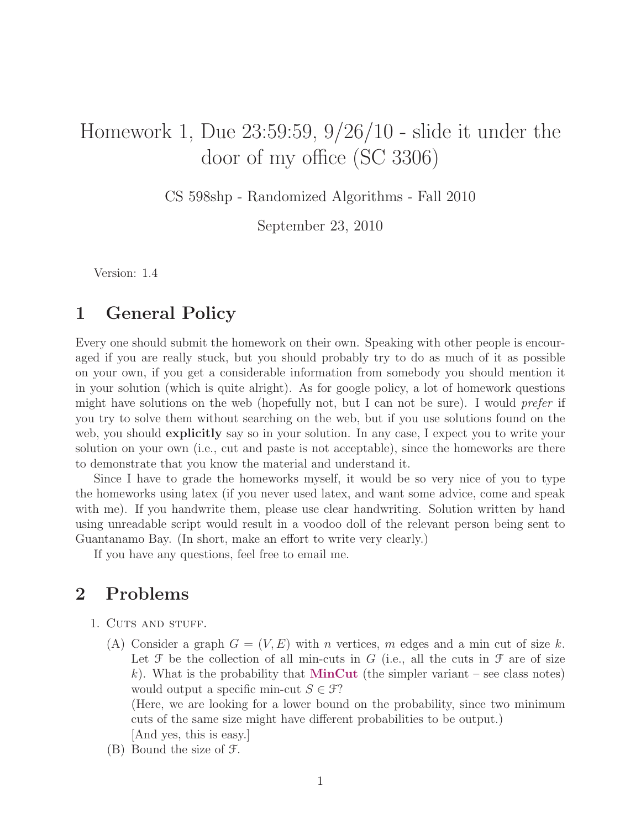## Homework 1, Due 23:59:59, 9/26/10 - slide it under the door of my office (SC 3306)

CS 598shp - Randomized Algorithms - Fall 2010

September 23, 2010

Version: 1.4

## 1 General Policy

Every one should submit the homework on their own. Speaking with other people is encouraged if you are really stuck, but you should probably try to do as much of it as possible on your own, if you get a considerable information from somebody you should mention it in your solution (which is quite alright). As for google policy, a lot of homework questions might have solutions on the web (hopefully not, but I can not be sure). I would *prefer* if you try to solve them without searching on the web, but if you use solutions found on the web, you should **explicitly** say so in your solution. In any case, I expect you to write your solution on your own (i.e., cut and paste is not acceptable), since the homeworks are there to demonstrate that you know the material and understand it.

Since I have to grade the homeworks myself, it would be so very nice of you to type the homeworks using latex (if you never used latex, and want some advice, come and speak with me). If you handwrite them, please use clear handwriting. Solution written by hand using unreadable script would result in a voodoo doll of the relevant person being sent to Guantanamo Bay. (In short, make an effort to write very clearly.)

If you have any questions, feel free to email me.

## 2 Problems

- 1. CUTS AND STUFF.
	- (A) Consider a graph  $G = (V, E)$  with n vertices, m edges and a min cut of size k. Let  $\mathcal F$  be the collection of all min-cuts in G (i.e., all the cuts in  $\mathcal F$  are of size k). What is the probability that **MinCut** (the simpler variant – see class notes) would output a specific min-cut  $S \in \mathcal{F}$ ?

(Here, we are looking for a lower bound on the probability, since two minimum cuts of the same size might have different probabilities to be output.) [And yes, this is easy.]

(B) Bound the size of F.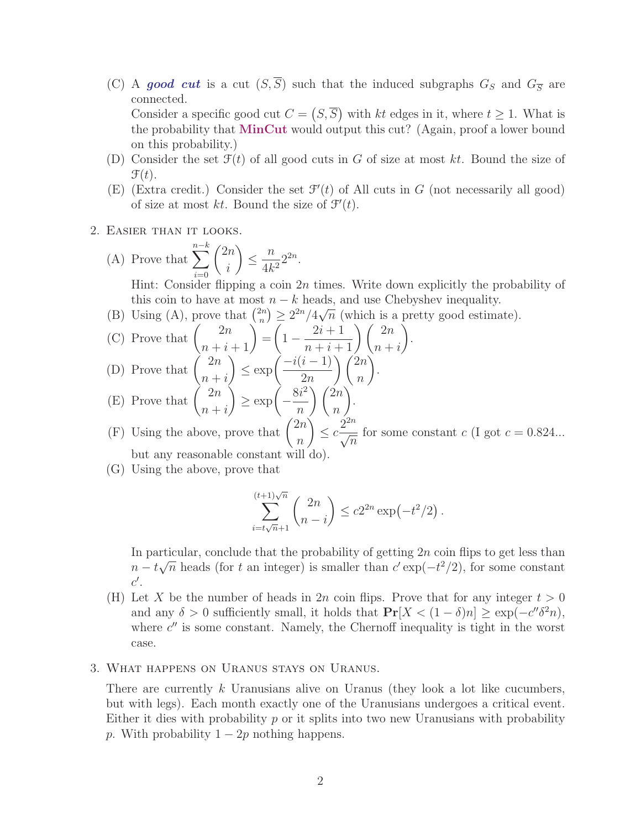(C) A good cut is a cut  $(S,\overline{S})$  such that the induced subgraphs  $G_S$  and  $G_{\overline{S}}$  are connected.

Consider a specific good cut  $C = (S, \overline{S})$  with kt edges in it, where  $t \geq 1$ . What is the probability that MinCut would output this cut? (Again, proof a lower bound on this probability.)

- (D) Consider the set  $\mathcal{F}(t)$  of all good cuts in G of size at most kt. Bound the size of  $\mathcal{F}(t)$ .
- (E) (Extra credit.) Consider the set  $\mathcal{F}'(t)$  of All cuts in G (not necessarily all good) of size at most kt. Bound the size of  $\mathcal{F}'(t)$ .
- 2. Easier than it looks.
	- (A) Prove that  $\sum_{n-k}^{n-k}$  $i=0$  $\sqrt{2n}$ i  $\setminus$  $\leq \frac{n}{1}$  $\frac{n}{4k^2} 2^{2n}$ .

Hint: Consider flipping a coin  $2n$  times. Write down explicitly the probability of this coin to have at most  $n - k$  heads, and use Chebyshev inequality.

.

(B) Using (A), prove that  $\binom{2n}{n}$  $\binom{n}{n} \geq 2^{2n}/4\sqrt{2n}$  $\overline{n}$  (which is a pretty good estimate).

(C) Prove that 
$$
\binom{2n}{n+i+1} = \left(1 - \frac{2i+1}{n+i+1}\right) \binom{2n}{n+i}
$$
  
(D) Prove that 
$$
\binom{2n}{n} \le \exp\left(\frac{-i(i-1)}{2n}\right) \binom{2n}{n}.
$$

(D) Prove that 
$$
\binom{n}{n+i} \le \exp\left(\frac{n(n-1)}{2n}\right) \binom{n}{n}
$$

(E) Prove that 
$$
\binom{2n}{n+i} \ge \exp\left(-\frac{8i^2}{n}\right)\binom{2n}{n}
$$
.

(F) Using the above, prove that  $\binom{2n}{n}$  $\overline{n}$  $≤ c<sup>2<sup>2</sup>⁄</sup>$  $\overline{n}$ for some constant c (I got  $c = 0.824...$ but any reasonable constant will do).

(G) Using the above, prove that

$$
\sum_{i=t\sqrt{n}+1}^{(t+1)\sqrt{n}} \binom{2n}{n-i} \le c2^{2n} \exp(-t^2/2).
$$

In particular, conclude that the probability of getting  $2n$  coin flips to get less than  $n - t$ ∴اب<br>⁄  $\overline{n}$  heads (for t an integer) is smaller than  $c' \exp(-t^2/2)$ , for some constant  $c'.$ 

- (H) Let X be the number of heads in 2n coin flips. Prove that for any integer  $t > 0$ and any  $\delta > 0$  sufficiently small, it holds that  $\Pr[X < (1 - \delta)n] \geq \exp(-c'' \delta^2 n)$ , where  $c''$  is some constant. Namely, the Chernoff inequality is tight in the worst case.
- 3. What happens on Uranus stays on Uranus.

There are currently  $k$  Uranusians alive on Uranus (they look a lot like cucumbers, but with legs). Each month exactly one of the Uranusians undergoes a critical event. Either it dies with probability  $p$  or it splits into two new Uranusians with probability p. With probability  $1 - 2p$  nothing happens.